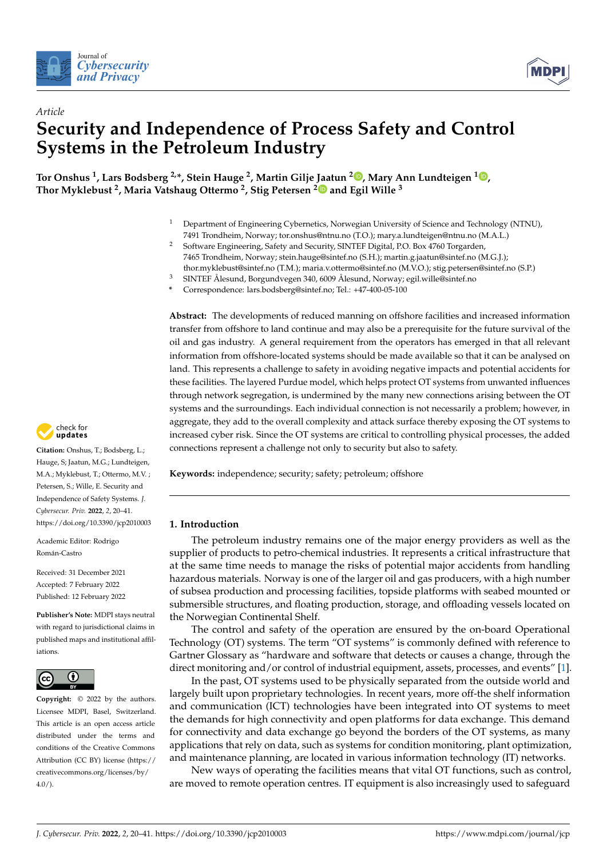



# *Article* **Security and Independence of Process Safety and Control Systems in the Petroleum Industry**

**Tor Onshus <sup>1</sup> , Lars Bodsberg 2,\*, Stein Hauge <sup>2</sup> , Martin Gilje [Jaa](https://orcid.org/0000-0003-4026-3326)tun <sup>2</sup> [,](https://orcid.org/0000-0001-7127-6694) Mary Ann Lundteigen <sup>1</sup> [,](https://orcid.org/0000-0002-9045-6815) Thor Myklebust <sup>2</sup> , Maria Vatshaug Ottermo <sup>2</sup> , Stig Petersen <sup>2</sup> and Egil Wille <sup>3</sup>**

- <sup>1</sup> Department of Engineering Cybernetics, Norwegian University of Science and Technology (NTNU), 7491 Trondheim, Norway; tor.onshus@ntnu.no (T.O.); mary.a.lundteigen@ntnu.no (M.A.L.)
- <sup>2</sup> Software Engineering, Safety and Security, SINTEF Digital, P.O. Box 4760 Torgarden, 7465 Trondheim, Norway; stein.hauge@sintef.no (S.H.); martin.g.jaatun@sintef.no (M.G.J.); thor.myklebust@sintef.no (T.M.); maria.v.ottermo@sintef.no (M.V.O.); stig.petersen@sintef.no (S.P.)
- <sup>3</sup> SINTEF Ålesund, Borgundvegen 340, 6009 Ålesund, Norway; egil.wille@sintef.no
- **\*** Correspondence: lars.bodsberg@sintef.no; Tel.: +47-400-05-100

**Abstract:** The developments of reduced manning on offshore facilities and increased information transfer from offshore to land continue and may also be a prerequisite for the future survival of the oil and gas industry. A general requirement from the operators has emerged in that all relevant information from offshore-located systems should be made available so that it can be analysed on land. This represents a challenge to safety in avoiding negative impacts and potential accidents for these facilities. The layered Purdue model, which helps protect OT systems from unwanted influences through network segregation, is undermined by the many new connections arising between the OT systems and the surroundings. Each individual connection is not necessarily a problem; however, in aggregate, they add to the overall complexity and attack surface thereby exposing the OT systems to increased cyber risk. Since the OT systems are critical to controlling physical processes, the added connections represent a challenge not only to security but also to safety.

**Keywords:** independence; security; safety; petroleum; offshore

## **1. Introduction**

The petroleum industry remains one of the major energy providers as well as the supplier of products to petro-chemical industries. It represents a critical infrastructure that at the same time needs to manage the risks of potential major accidents from handling hazardous materials. Norway is one of the larger oil and gas producers, with a high number of subsea production and processing facilities, topside platforms with seabed mounted or submersible structures, and floating production, storage, and offloading vessels located on the Norwegian Continental Shelf.

The control and safety of the operation are ensured by the on-board Operational Technology (OT) systems. The term "OT systems" is commonly defined with reference to Gartner Glossary as "hardware and software that detects or causes a change, through the direct monitoring and/or control of industrial equipment, assets, processes, and events" [\[1\]](#page-20-0).

In the past, OT systems used to be physically separated from the outside world and largely built upon proprietary technologies. In recent years, more off-the shelf information and communication (ICT) technologies have been integrated into OT systems to meet the demands for high connectivity and open platforms for data exchange. This demand for connectivity and data exchange go beyond the borders of the OT systems, as many applications that rely on data, such as systems for condition monitoring, plant optimization, and maintenance planning, are located in various information technology (IT) networks.

New ways of operating the facilities means that vital OT functions, such as control, are moved to remote operation centres. IT equipment is also increasingly used to safeguard



**Citation:** Onshus, T.; Bodsberg, L.; Hauge, S; Jaatun, M.G.; Lundteigen, M.A.; Myklebust, T.; Ottermo, M.V. ; Petersen, S.; Wille, E. Security and Independence of Safety Systems. *J. Cybersecur. Priv.* **2022**, *2*, 20–41. <https://doi.org/10.3390/jcp2010003>

Academic Editor: Rodrigo Román-Castro

Received: 31 December 2021 Accepted: 7 February 2022 Published: 12 February 2022

**Publisher's Note:** MDPI stays neutral with regard to jurisdictional claims in published maps and institutional affiliations.



**Copyright:** © 2022 by the authors. Licensee MDPI, Basel, Switzerland. This article is an open access article distributed under the terms and conditions of the Creative Commons Attribution (CC BY) license [\(https://](https://creativecommons.org/licenses/by/4.0/) [creativecommons.org/licenses/by/](https://creativecommons.org/licenses/by/4.0/)  $4.0/$ ).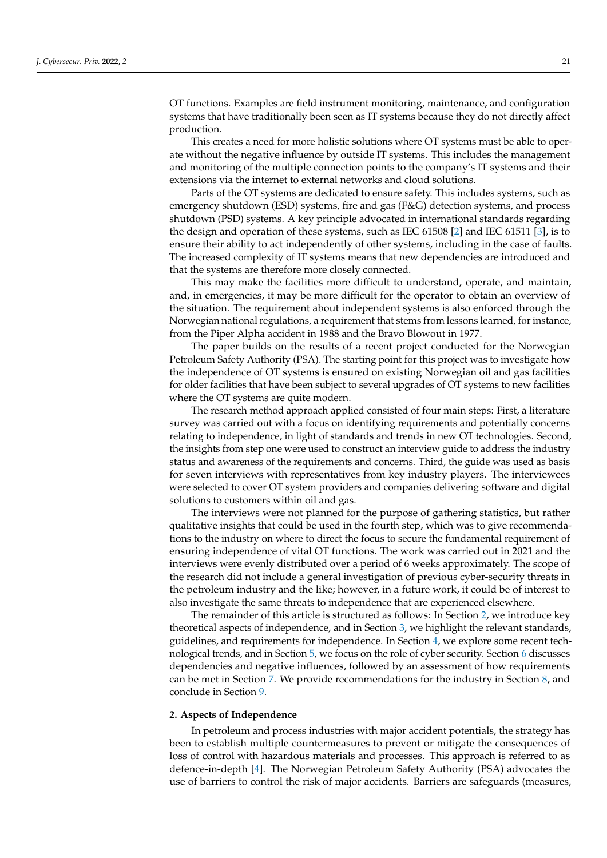OT functions. Examples are field instrument monitoring, maintenance, and configuration systems that have traditionally been seen as IT systems because they do not directly affect production.

This creates a need for more holistic solutions where OT systems must be able to operate without the negative influence by outside IT systems. This includes the management and monitoring of the multiple connection points to the company's IT systems and their extensions via the internet to external networks and cloud solutions.

Parts of the OT systems are dedicated to ensure safety. This includes systems, such as emergency shutdown (ESD) systems, fire and gas (F&G) detection systems, and process shutdown (PSD) systems. A key principle advocated in international standards regarding the design and operation of these systems, such as IEC 61508 [\[2\]](#page-20-1) and IEC 61511 [\[3\]](#page-20-2), is to ensure their ability to act independently of other systems, including in the case of faults. The increased complexity of IT systems means that new dependencies are introduced and that the systems are therefore more closely connected.

This may make the facilities more difficult to understand, operate, and maintain, and, in emergencies, it may be more difficult for the operator to obtain an overview of the situation. The requirement about independent systems is also enforced through the Norwegian national regulations, a requirement that stems from lessons learned, for instance, from the Piper Alpha accident in 1988 and the Bravo Blowout in 1977.

The paper builds on the results of a recent project conducted for the Norwegian Petroleum Safety Authority (PSA). The starting point for this project was to investigate how the independence of OT systems is ensured on existing Norwegian oil and gas facilities for older facilities that have been subject to several upgrades of OT systems to new facilities where the OT systems are quite modern.

The research method approach applied consisted of four main steps: First, a literature survey was carried out with a focus on identifying requirements and potentially concerns relating to independence, in light of standards and trends in new OT technologies. Second, the insights from step one were used to construct an interview guide to address the industry status and awareness of the requirements and concerns. Third, the guide was used as basis for seven interviews with representatives from key industry players. The interviewees were selected to cover OT system providers and companies delivering software and digital solutions to customers within oil and gas.

The interviews were not planned for the purpose of gathering statistics, but rather qualitative insights that could be used in the fourth step, which was to give recommendations to the industry on where to direct the focus to secure the fundamental requirement of ensuring independence of vital OT functions. The work was carried out in 2021 and the interviews were evenly distributed over a period of 6 weeks approximately. The scope of the research did not include a general investigation of previous cyber-security threats in the petroleum industry and the like; however, in a future work, it could be of interest to also investigate the same threats to independence that are experienced elsewhere.

The remainder of this article is structured as follows: In Section [2,](#page-1-0) we introduce key theoretical aspects of independence, and in Section [3,](#page-5-0) we highlight the relevant standards, guidelines, and requirements for independence. In Section [4,](#page-7-0) we explore some recent technological trends, and in Section [5,](#page-11-0) we focus on the role of cyber security. Section [6](#page-16-0) discusses dependencies and negative influences, followed by an assessment of how requirements can be met in Section [7.](#page-17-0) We provide recommendations for the industry in Section [8,](#page-18-0) and conclude in Section [9.](#page-19-0)

#### <span id="page-1-0"></span>**2. Aspects of Independence**

In petroleum and process industries with major accident potentials, the strategy has been to establish multiple countermeasures to prevent or mitigate the consequences of loss of control with hazardous materials and processes. This approach is referred to as defence-in-depth [\[4\]](#page-20-3). The Norwegian Petroleum Safety Authority (PSA) advocates the use of barriers to control the risk of major accidents. Barriers are safeguards (measures,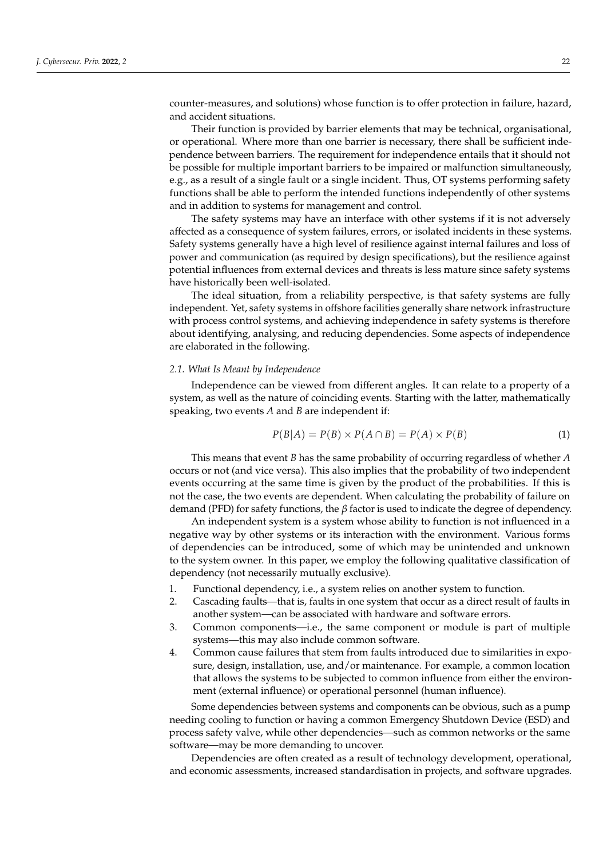counter-measures, and solutions) whose function is to offer protection in failure, hazard, and accident situations.

Their function is provided by barrier elements that may be technical, organisational, or operational. Where more than one barrier is necessary, there shall be sufficient independence between barriers. The requirement for independence entails that it should not be possible for multiple important barriers to be impaired or malfunction simultaneously, e.g., as a result of a single fault or a single incident. Thus, OT systems performing safety functions shall be able to perform the intended functions independently of other systems and in addition to systems for management and control.

The safety systems may have an interface with other systems if it is not adversely affected as a consequence of system failures, errors, or isolated incidents in these systems. Safety systems generally have a high level of resilience against internal failures and loss of power and communication (as required by design specifications), but the resilience against potential influences from external devices and threats is less mature since safety systems have historically been well-isolated.

The ideal situation, from a reliability perspective, is that safety systems are fully independent. Yet, safety systems in offshore facilities generally share network infrastructure with process control systems, and achieving independence in safety systems is therefore about identifying, analysing, and reducing dependencies. Some aspects of independence are elaborated in the following.

#### *2.1. What Is Meant by Independence*

Independence can be viewed from different angles. It can relate to a property of a system, as well as the nature of coinciding events. Starting with the latter, mathematically speaking, two events *A* and *B* are independent if:

$$
P(B|A) = P(B) \times P(A \cap B) = P(A) \times P(B)
$$
\n<sup>(1)</sup>

This means that event *B* has the same probability of occurring regardless of whether *A* occurs or not (and vice versa). This also implies that the probability of two independent events occurring at the same time is given by the product of the probabilities. If this is not the case, the two events are dependent. When calculating the probability of failure on demand (PFD) for safety functions, the *β* factor is used to indicate the degree of dependency.

An independent system is a system whose ability to function is not influenced in a negative way by other systems or its interaction with the environment. Various forms of dependencies can be introduced, some of which may be unintended and unknown to the system owner. In this paper, we employ the following qualitative classification of dependency (not necessarily mutually exclusive).

- 1. Functional dependency, i.e., a system relies on another system to function.
- 2. Cascading faults—that is, faults in one system that occur as a direct result of faults in another system—can be associated with hardware and software errors.
- 3. Common components—i.e., the same component or module is part of multiple systems—this may also include common software.
- 4. Common cause failures that stem from faults introduced due to similarities in exposure, design, installation, use, and/or maintenance. For example, a common location that allows the systems to be subjected to common influence from either the environment (external influence) or operational personnel (human influence).

Some dependencies between systems and components can be obvious, such as a pump needing cooling to function or having a common Emergency Shutdown Device (ESD) and process safety valve, while other dependencies—such as common networks or the same software—may be more demanding to uncover.

Dependencies are often created as a result of technology development, operational, and economic assessments, increased standardisation in projects, and software upgrades.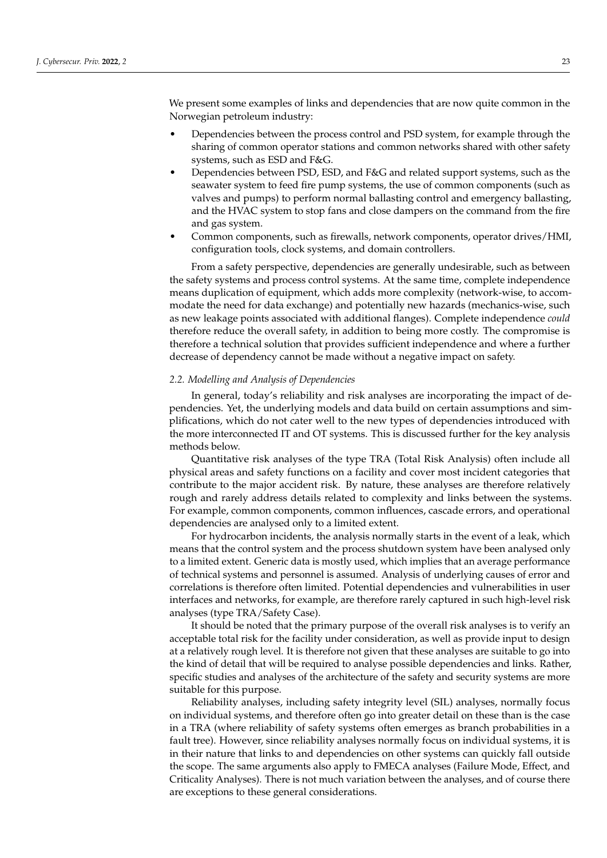We present some examples of links and dependencies that are now quite common in the Norwegian petroleum industry:

- Dependencies between the process control and PSD system, for example through the sharing of common operator stations and common networks shared with other safety systems, such as ESD and F&G.
- Dependencies between PSD, ESD, and F&G and related support systems, such as the seawater system to feed fire pump systems, the use of common components (such as valves and pumps) to perform normal ballasting control and emergency ballasting, and the HVAC system to stop fans and close dampers on the command from the fire and gas system.
- Common components, such as firewalls, network components, operator drives/HMI, configuration tools, clock systems, and domain controllers.

From a safety perspective, dependencies are generally undesirable, such as between the safety systems and process control systems. At the same time, complete independence means duplication of equipment, which adds more complexity (network-wise, to accommodate the need for data exchange) and potentially new hazards (mechanics-wise, such as new leakage points associated with additional flanges). Complete independence *could* therefore reduce the overall safety, in addition to being more costly. The compromise is therefore a technical solution that provides sufficient independence and where a further decrease of dependency cannot be made without a negative impact on safety.

#### *2.2. Modelling and Analysis of Dependencies*

In general, today's reliability and risk analyses are incorporating the impact of dependencies. Yet, the underlying models and data build on certain assumptions and simplifications, which do not cater well to the new types of dependencies introduced with the more interconnected IT and OT systems. This is discussed further for the key analysis methods below.

Quantitative risk analyses of the type TRA (Total Risk Analysis) often include all physical areas and safety functions on a facility and cover most incident categories that contribute to the major accident risk. By nature, these analyses are therefore relatively rough and rarely address details related to complexity and links between the systems. For example, common components, common influences, cascade errors, and operational dependencies are analysed only to a limited extent.

For hydrocarbon incidents, the analysis normally starts in the event of a leak, which means that the control system and the process shutdown system have been analysed only to a limited extent. Generic data is mostly used, which implies that an average performance of technical systems and personnel is assumed. Analysis of underlying causes of error and correlations is therefore often limited. Potential dependencies and vulnerabilities in user interfaces and networks, for example, are therefore rarely captured in such high-level risk analyses (type TRA/Safety Case).

It should be noted that the primary purpose of the overall risk analyses is to verify an acceptable total risk for the facility under consideration, as well as provide input to design at a relatively rough level. It is therefore not given that these analyses are suitable to go into the kind of detail that will be required to analyse possible dependencies and links. Rather, specific studies and analyses of the architecture of the safety and security systems are more suitable for this purpose.

Reliability analyses, including safety integrity level (SIL) analyses, normally focus on individual systems, and therefore often go into greater detail on these than is the case in a TRA (where reliability of safety systems often emerges as branch probabilities in a fault tree). However, since reliability analyses normally focus on individual systems, it is in their nature that links to and dependencies on other systems can quickly fall outside the scope. The same arguments also apply to FMECA analyses (Failure Mode, Effect, and Criticality Analyses). There is not much variation between the analyses, and of course there are exceptions to these general considerations.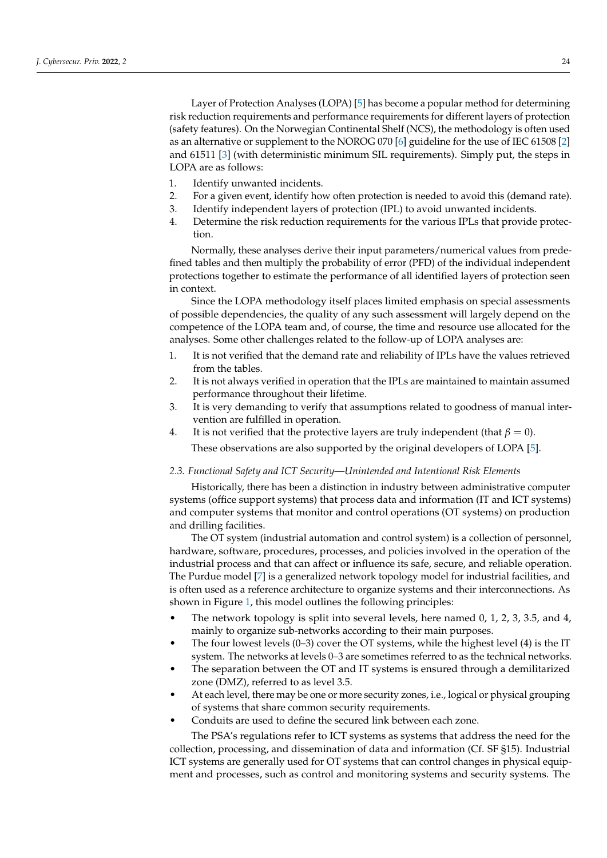Layer of Protection Analyses (LOPA) [\[5\]](#page-20-4) has become a popular method for determining risk reduction requirements and performance requirements for different layers of protection (safety features). On the Norwegian Continental Shelf (NCS), the methodology is often used as an alternative or supplement to the NOROG 070 [\[6\]](#page-20-5) guideline for the use of IEC 61508 [\[2\]](#page-20-1) and 61511 [\[3\]](#page-20-2) (with deterministic minimum SIL requirements). Simply put, the steps in LOPA are as follows:

- 1. Identify unwanted incidents.
- 2. For a given event, identify how often protection is needed to avoid this (demand rate).
- 3. Identify independent layers of protection (IPL) to avoid unwanted incidents.
- 4. Determine the risk reduction requirements for the various IPLs that provide protection.

Normally, these analyses derive their input parameters/numerical values from predefined tables and then multiply the probability of error (PFD) of the individual independent protections together to estimate the performance of all identified layers of protection seen in context.

Since the LOPA methodology itself places limited emphasis on special assessments of possible dependencies, the quality of any such assessment will largely depend on the competence of the LOPA team and, of course, the time and resource use allocated for the analyses. Some other challenges related to the follow-up of LOPA analyses are:

- 1. It is not verified that the demand rate and reliability of IPLs have the values retrieved from the tables.
- 2. It is not always verified in operation that the IPLs are maintained to maintain assumed performance throughout their lifetime.
- 3. It is very demanding to verify that assumptions related to goodness of manual intervention are fulfilled in operation.
- 4. It is not verified that the protective layers are truly independent (that  $\beta = 0$ ).

These observations are also supported by the original developers of LOPA [\[5\]](#page-20-4).

### *2.3. Functional Safety and ICT Security—Unintended and Intentional Risk Elements*

Historically, there has been a distinction in industry between administrative computer systems (office support systems) that process data and information (IT and ICT systems) and computer systems that monitor and control operations (OT systems) on production and drilling facilities.

The OT system (industrial automation and control system) is a collection of personnel, hardware, software, procedures, processes, and policies involved in the operation of the industrial process and that can affect or influence its safe, secure, and reliable operation. The Purdue model [\[7\]](#page-20-6) is a generalized network topology model for industrial facilities, and is often used as a reference architecture to organize systems and their interconnections. As shown in Figure [1,](#page-5-1) this model outlines the following principles:

- The network topology is split into several levels, here named 0, 1, 2, 3, 3.5, and 4, mainly to organize sub-networks according to their main purposes.
- The four lowest levels (0–3) cover the OT systems, while the highest level (4) is the IT system. The networks at levels 0–3 are sometimes referred to as the technical networks.
- The separation between the OT and IT systems is ensured through a demilitarized zone (DMZ), referred to as level 3.5.
- At each level, there may be one or more security zones, i.e., logical or physical grouping of systems that share common security requirements.
- Conduits are used to define the secured link between each zone.

The PSA's regulations refer to ICT systems as systems that address the need for the collection, processing, and dissemination of data and information (Cf. SF §15). Industrial ICT systems are generally used for OT systems that can control changes in physical equipment and processes, such as control and monitoring systems and security systems. The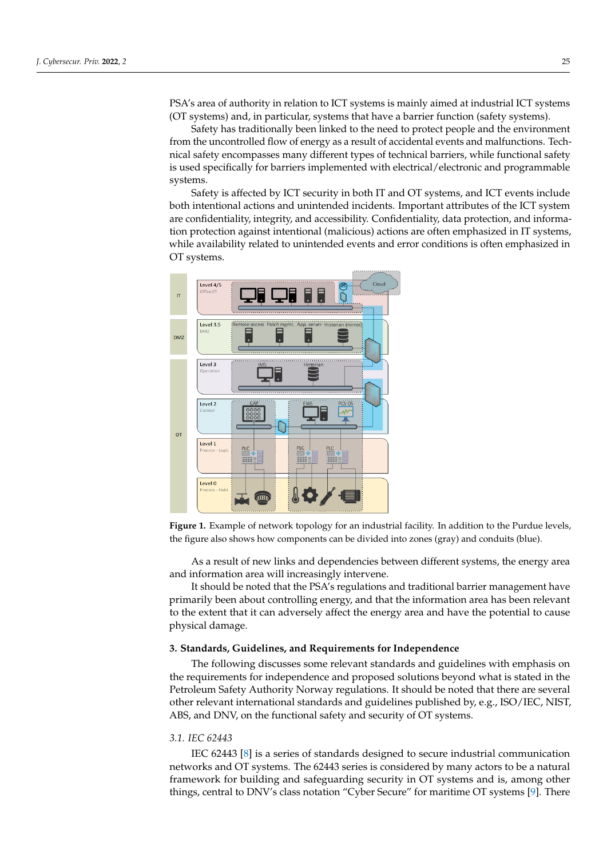PSA's area of authority in relation to ICT systems is mainly aimed at industrial ICT systems (OT systems) and, in particular, systems that have a barrier function (safety systems).

Safety has traditionally been linked to the need to protect people and the environment from the uncontrolled flow of energy as a result of accidental events and malfunctions. Technical safety encompasses many different types of technical barriers, while functional safety is used specifically for barriers implemented with electrical/electronic and programmable systems.

Safety is affected by ICT security in both IT and OT systems, and ICT events include both intentional actions and unintended incidents. Important attributes of the ICT system are confidentiality, integrity, and accessibility. Confidentiality, data protection, and information protection against intentional (malicious) actions are often emphasized in IT systems, while availability related to unintended events and error conditions is often emphasized in OT systems.

<span id="page-5-1"></span>

**Figure 1.** Example of network topology for an industrial facility. In addition to the Purdue levels, the figure also shows how components can be divided into zones (gray) and conduits (blue).

As a result of new links and dependencies between different systems, the energy area and information area will increasingly intervene.

It should be noted that the PSA's regulations and traditional barrier management have primarily been about controlling energy, and that the information area has been relevant to the extent that it can adversely affect the energy area and have the potential to cause physical damage.

### <span id="page-5-0"></span>**3. Standards, Guidelines, and Requirements for Independence**

The following discusses some relevant standards and guidelines with emphasis on the requirements for independence and proposed solutions beyond what is stated in the Petroleum Safety Authority Norway regulations. It should be noted that there are several other relevant international standards and guidelines published by, e.g., ISO/IEC, NIST, ABS, and DNV, on the functional safety and security of OT systems.

### *3.1. IEC 62443*

IEC 62443 [\[8\]](#page-20-7) is a series of standards designed to secure industrial communication networks and OT systems. The 62443 series is considered by many actors to be a natural framework for building and safeguarding security in OT systems and is, among other things, central to DNV's class notation "Cyber Secure" for maritime OT systems [\[9\]](#page-20-8). There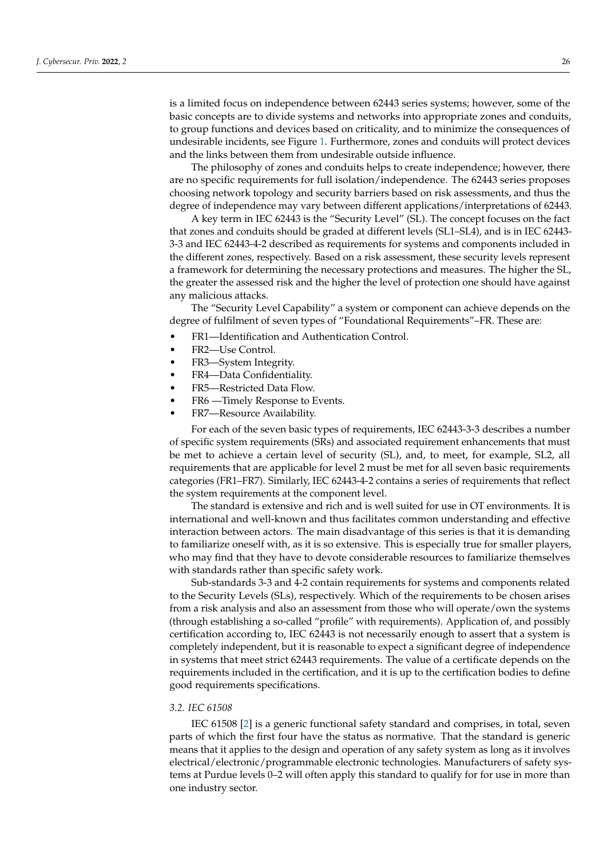is a limited focus on independence between 62443 series systems; however, some of the basic concepts are to divide systems and networks into appropriate zones and conduits, to group functions and devices based on criticality, and to minimize the consequences of undesirable incidents, see Figure [1.](#page-5-1) Furthermore, zones and conduits will protect devices and the links between them from undesirable outside influence.

The philosophy of zones and conduits helps to create independence; however, there are no specific requirements for full isolation/independence. The 62443 series proposes choosing network topology and security barriers based on risk assessments, and thus the degree of independence may vary between different applications/interpretations of 62443.

A key term in IEC 62443 is the "Security Level" (SL). The concept focuses on the fact that zones and conduits should be graded at different levels (SL1–SL4), and is in IEC 62443- 3-3 and IEC 62443-4-2 described as requirements for systems and components included in the different zones, respectively. Based on a risk assessment, these security levels represent a framework for determining the necessary protections and measures. The higher the SL, the greater the assessed risk and the higher the level of protection one should have against any malicious attacks.

The "Security Level Capability" a system or component can achieve depends on the degree of fulfilment of seven types of "Foundational Requirements"–FR. These are:

- FR1—Identification and Authentication Control.
- FR2—Use Control.
- FR3—System Integrity.
- FR4—Data Confidentiality.
- FR5—Restricted Data Flow.
- FR6 —Timely Response to Events.
- FR7—Resource Availability.

For each of the seven basic types of requirements, IEC 62443-3-3 describes a number of specific system requirements (SRs) and associated requirement enhancements that must be met to achieve a certain level of security (SL), and, to meet, for example, SL2, all requirements that are applicable for level 2 must be met for all seven basic requirements categories (FR1–FR7). Similarly, IEC 62443-4-2 contains a series of requirements that reflect the system requirements at the component level.

The standard is extensive and rich and is well suited for use in OT environments. It is international and well-known and thus facilitates common understanding and effective interaction between actors. The main disadvantage of this series is that it is demanding to familiarize oneself with, as it is so extensive. This is especially true for smaller players, who may find that they have to devote considerable resources to familiarize themselves with standards rather than specific safety work.

Sub-standards 3-3 and 4-2 contain requirements for systems and components related to the Security Levels (SLs), respectively. Which of the requirements to be chosen arises from a risk analysis and also an assessment from those who will operate/own the systems (through establishing a so-called "profile" with requirements). Application of, and possibly certification according to, IEC 62443 is not necessarily enough to assert that a system is completely independent, but it is reasonable to expect a significant degree of independence in systems that meet strict 62443 requirements. The value of a certificate depends on the requirements included in the certification, and it is up to the certification bodies to define good requirements specifications.

## *3.2. IEC 61508*

IEC 61508 [\[2\]](#page-20-1) is a generic functional safety standard and comprises, in total, seven parts of which the first four have the status as normative. That the standard is generic means that it applies to the design and operation of any safety system as long as it involves electrical/electronic/programmable electronic technologies. Manufacturers of safety systems at Purdue levels 0–2 will often apply this standard to qualify for for use in more than one industry sector.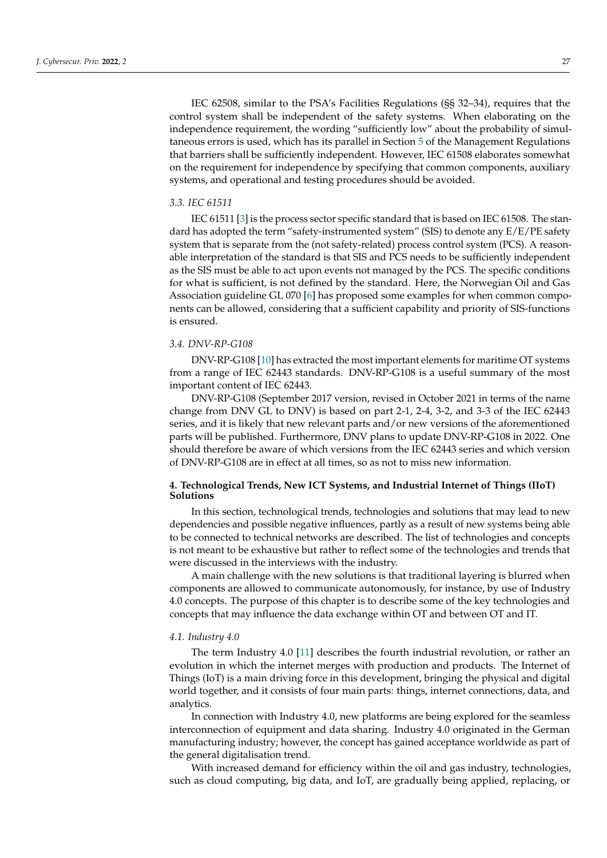IEC 62508, similar to the PSA's Facilities Regulations (§§ 32–34), requires that the control system shall be independent of the safety systems. When elaborating on the independence requirement, the wording "sufficiently low" about the probability of simultaneous errors is used, which has its parallel in Section [5](#page-11-0) of the Management Regulations that barriers shall be sufficiently independent. However, IEC 61508 elaborates somewhat on the requirement for independence by specifying that common components, auxiliary systems, and operational and testing procedures should be avoided.

# *3.3. IEC 61511*

IEC 61511 [\[3\]](#page-20-2) is the process sector specific standard that is based on IEC 61508. The standard has adopted the term "safety-instrumented system" (SIS) to denote any  $E/E/PE$  safety system that is separate from the (not safety-related) process control system (PCS). A reasonable interpretation of the standard is that SIS and PCS needs to be sufficiently independent as the SIS must be able to act upon events not managed by the PCS. The specific conditions for what is sufficient, is not defined by the standard. Here, the Norwegian Oil and Gas Association guideline GL 070 [\[6\]](#page-20-5) has proposed some examples for when common components can be allowed, considering that a sufficient capability and priority of SIS-functions is ensured.

# *3.4. DNV-RP-G108*

DNV-RP-G108 [\[10\]](#page-20-9) has extracted the most important elements for maritime OT systems from a range of IEC 62443 standards. DNV-RP-G108 is a useful summary of the most important content of IEC 62443.

DNV-RP-G108 (September 2017 version, revised in October 2021 in terms of the name change from DNV GL to DNV) is based on part 2-1, 2-4, 3-2, and 3-3 of the IEC 62443 series, and it is likely that new relevant parts and/or new versions of the aforementioned parts will be published. Furthermore, DNV plans to update DNV-RP-G108 in 2022. One should therefore be aware of which versions from the IEC 62443 series and which version of DNV-RP-G108 are in effect at all times, so as not to miss new information.

# <span id="page-7-0"></span>**4. Technological Trends, New ICT Systems, and Industrial Internet of Things (IIoT) Solutions**

In this section, technological trends, technologies and solutions that may lead to new dependencies and possible negative influences, partly as a result of new systems being able to be connected to technical networks are described. The list of technologies and concepts is not meant to be exhaustive but rather to reflect some of the technologies and trends that were discussed in the interviews with the industry.

A main challenge with the new solutions is that traditional layering is blurred when components are allowed to communicate autonomously, for instance, by use of Industry 4.0 concepts. The purpose of this chapter is to describe some of the key technologies and concepts that may influence the data exchange within OT and between OT and IT.

### <span id="page-7-1"></span>*4.1. Industry 4.0*

The term Industry 4.0 [\[11\]](#page-20-10) describes the fourth industrial revolution, or rather an evolution in which the internet merges with production and products. The Internet of Things (IoT) is a main driving force in this development, bringing the physical and digital world together, and it consists of four main parts: things, internet connections, data, and analytics.

In connection with Industry 4.0, new platforms are being explored for the seamless interconnection of equipment and data sharing. Industry 4.0 originated in the German manufacturing industry; however, the concept has gained acceptance worldwide as part of the general digitalisation trend.

With increased demand for efficiency within the oil and gas industry, technologies, such as cloud computing, big data, and IoT, are gradually being applied, replacing, or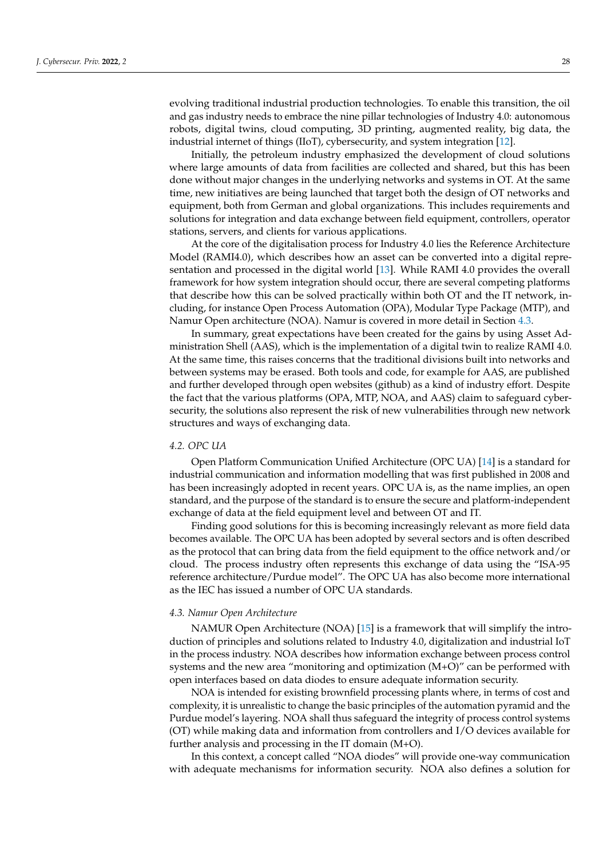evolving traditional industrial production technologies. To enable this transition, the oil and gas industry needs to embrace the nine pillar technologies of Industry 4.0: autonomous robots, digital twins, cloud computing, 3D printing, augmented reality, big data, the industrial internet of things (IIoT), cybersecurity, and system integration [\[12\]](#page-20-11).

Initially, the petroleum industry emphasized the development of cloud solutions where large amounts of data from facilities are collected and shared, but this has been done without major changes in the underlying networks and systems in OT. At the same time, new initiatives are being launched that target both the design of OT networks and equipment, both from German and global organizations. This includes requirements and solutions for integration and data exchange between field equipment, controllers, operator stations, servers, and clients for various applications.

At the core of the digitalisation process for Industry 4.0 lies the Reference Architecture Model (RAMI4.0), which describes how an asset can be converted into a digital representation and processed in the digital world [\[13\]](#page-20-12). While RAMI 4.0 provides the overall framework for how system integration should occur, there are several competing platforms that describe how this can be solved practically within both OT and the IT network, including, for instance Open Process Automation (OPA), Modular Type Package (MTP), and Namur Open architecture (NOA). Namur is covered in more detail in Section [4.3.](#page-8-0)

In summary, great expectations have been created for the gains by using Asset Administration Shell (AAS), which is the implementation of a digital twin to realize RAMI 4.0. At the same time, this raises concerns that the traditional divisions built into networks and between systems may be erased. Both tools and code, for example for AAS, are published and further developed through open websites (github) as a kind of industry effort. Despite the fact that the various platforms (OPA, MTP, NOA, and AAS) claim to safeguard cybersecurity, the solutions also represent the risk of new vulnerabilities through new network structures and ways of exchanging data.

## *4.2. OPC UA*

Open Platform Communication Unified Architecture (OPC UA) [\[14\]](#page-20-13) is a standard for industrial communication and information modelling that was first published in 2008 and has been increasingly adopted in recent years. OPC UA is, as the name implies, an open standard, and the purpose of the standard is to ensure the secure and platform-independent exchange of data at the field equipment level and between OT and IT.

Finding good solutions for this is becoming increasingly relevant as more field data becomes available. The OPC UA has been adopted by several sectors and is often described as the protocol that can bring data from the field equipment to the office network and/or cloud. The process industry often represents this exchange of data using the "ISA-95 reference architecture/Purdue model". The OPC UA has also become more international as the IEC has issued a number of OPC UA standards.

## <span id="page-8-0"></span>*4.3. Namur Open Architecture*

NAMUR Open Architecture (NOA) [\[15\]](#page-21-0) is a framework that will simplify the introduction of principles and solutions related to Industry 4.0, digitalization and industrial IoT in the process industry. NOA describes how information exchange between process control systems and the new area "monitoring and optimization (M+O)" can be performed with open interfaces based on data diodes to ensure adequate information security.

NOA is intended for existing brownfield processing plants where, in terms of cost and complexity, it is unrealistic to change the basic principles of the automation pyramid and the Purdue model's layering. NOA shall thus safeguard the integrity of process control systems (OT) while making data and information from controllers and I/O devices available for further analysis and processing in the IT domain (M+O).

In this context, a concept called "NOA diodes" will provide one-way communication with adequate mechanisms for information security. NOA also defines a solution for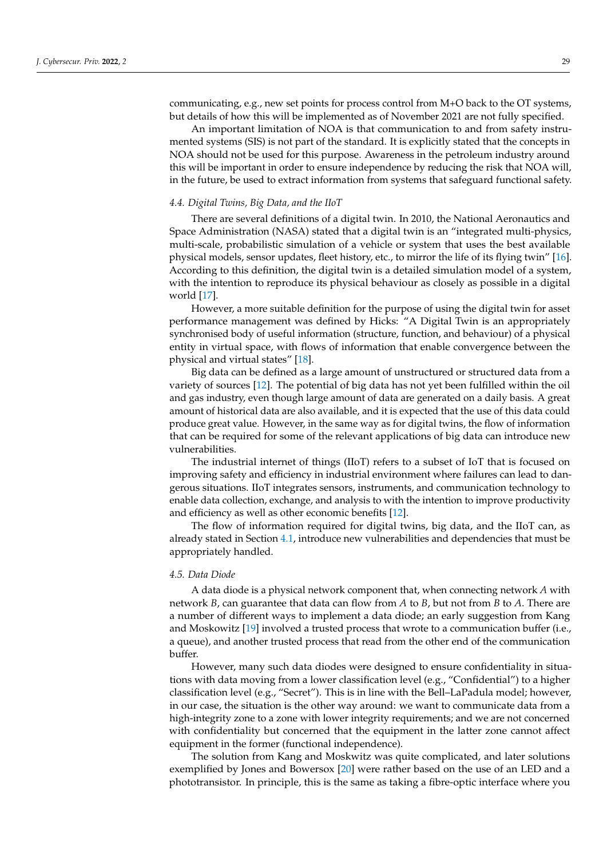communicating, e.g., new set points for process control from M+O back to the OT systems, but details of how this will be implemented as of November 2021 are not fully specified.

An important limitation of NOA is that communication to and from safety instrumented systems (SIS) is not part of the standard. It is explicitly stated that the concepts in NOA should not be used for this purpose. Awareness in the petroleum industry around this will be important in order to ensure independence by reducing the risk that NOA will, in the future, be used to extract information from systems that safeguard functional safety.

## *4.4. Digital Twins, Big Data, and the IIoT*

There are several definitions of a digital twin. In 2010, the National Aeronautics and Space Administration (NASA) stated that a digital twin is an "integrated multi-physics, multi-scale, probabilistic simulation of a vehicle or system that uses the best available physical models, sensor updates, fleet history, etc., to mirror the life of its flying twin" [\[16\]](#page-21-1). According to this definition, the digital twin is a detailed simulation model of a system, with the intention to reproduce its physical behaviour as closely as possible in a digital world [\[17\]](#page-21-2).

However, a more suitable definition for the purpose of using the digital twin for asset performance management was defined by Hicks: "A Digital Twin is an appropriately synchronised body of useful information (structure, function, and behaviour) of a physical entity in virtual space, with flows of information that enable convergence between the physical and virtual states" [\[18\]](#page-21-3).

Big data can be defined as a large amount of unstructured or structured data from a variety of sources [\[12\]](#page-20-11). The potential of big data has not yet been fulfilled within the oil and gas industry, even though large amount of data are generated on a daily basis. A great amount of historical data are also available, and it is expected that the use of this data could produce great value. However, in the same way as for digital twins, the flow of information that can be required for some of the relevant applications of big data can introduce new vulnerabilities.

The industrial internet of things (IIoT) refers to a subset of IoT that is focused on improving safety and efficiency in industrial environment where failures can lead to dangerous situations. IIoT integrates sensors, instruments, and communication technology to enable data collection, exchange, and analysis to with the intention to improve productivity and efficiency as well as other economic benefits [\[12\]](#page-20-11).

The flow of information required for digital twins, big data, and the IIoT can, as already stated in Section [4.1,](#page-7-1) introduce new vulnerabilities and dependencies that must be appropriately handled.

## *4.5. Data Diode*

A data diode is a physical network component that, when connecting network *A* with network *B*, can guarantee that data can flow from *A* to *B*, but not from *B* to *A*. There are a number of different ways to implement a data diode; an early suggestion from Kang and Moskowitz [\[19\]](#page-21-4) involved a trusted process that wrote to a communication buffer (i.e., a queue), and another trusted process that read from the other end of the communication buffer.

However, many such data diodes were designed to ensure confidentiality in situations with data moving from a lower classification level (e.g., "Confidential") to a higher classification level (e.g., "Secret"). This is in line with the Bell–LaPadula model; however, in our case, the situation is the other way around: we want to communicate data from a high-integrity zone to a zone with lower integrity requirements; and we are not concerned with confidentiality but concerned that the equipment in the latter zone cannot affect equipment in the former (functional independence).

The solution from Kang and Moskwitz was quite complicated, and later solutions exemplified by Jones and Bowersox [\[20\]](#page-21-5) were rather based on the use of an LED and a phototransistor. In principle, this is the same as taking a fibre-optic interface where you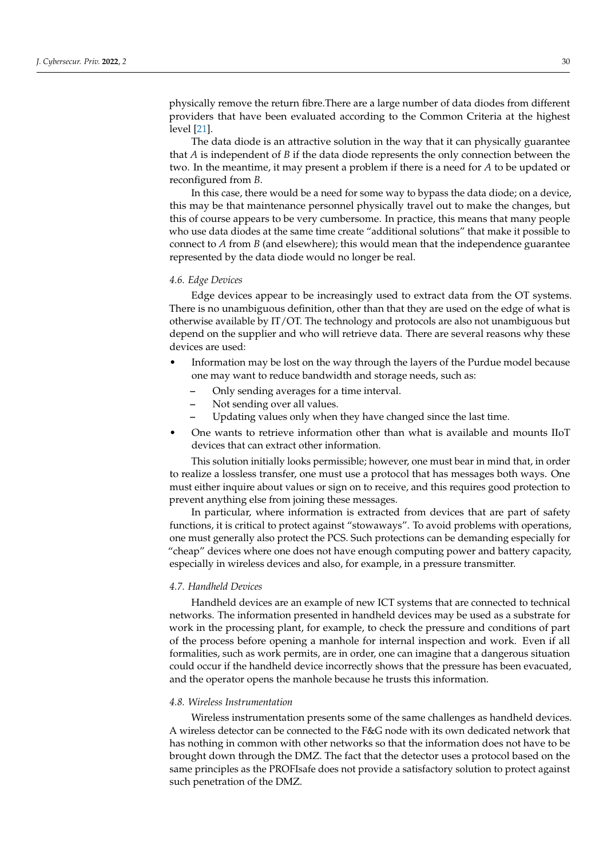physically remove the return fibre.There are a large number of data diodes from different providers that have been evaluated according to the Common Criteria at the highest level [\[21\]](#page-21-6).

The data diode is an attractive solution in the way that it can physically guarantee that *A* is independent of *B* if the data diode represents the only connection between the two. In the meantime, it may present a problem if there is a need for *A* to be updated or reconfigured from *B*.

In this case, there would be a need for some way to bypass the data diode; on a device, this may be that maintenance personnel physically travel out to make the changes, but this of course appears to be very cumbersome. In practice, this means that many people who use data diodes at the same time create "additional solutions" that make it possible to connect to *A* from *B* (and elsewhere); this would mean that the independence guarantee represented by the data diode would no longer be real.

## *4.6. Edge Devices*

Edge devices appear to be increasingly used to extract data from the OT systems. There is no unambiguous definition, other than that they are used on the edge of what is otherwise available by IT/OT. The technology and protocols are also not unambiguous but depend on the supplier and who will retrieve data. There are several reasons why these devices are used:

- Information may be lost on the way through the layers of the Purdue model because one may want to reduce bandwidth and storage needs, such as:
	- **–** Only sending averages for a time interval.
	- **–** Not sending over all values.
	- **–** Updating values only when they have changed since the last time.
- One wants to retrieve information other than what is available and mounts IIoT devices that can extract other information.

This solution initially looks permissible; however, one must bear in mind that, in order to realize a lossless transfer, one must use a protocol that has messages both ways. One must either inquire about values or sign on to receive, and this requires good protection to prevent anything else from joining these messages.

In particular, where information is extracted from devices that are part of safety functions, it is critical to protect against "stowaways". To avoid problems with operations, one must generally also protect the PCS. Such protections can be demanding especially for "cheap" devices where one does not have enough computing power and battery capacity, especially in wireless devices and also, for example, in a pressure transmitter.

## *4.7. Handheld Devices*

Handheld devices are an example of new ICT systems that are connected to technical networks. The information presented in handheld devices may be used as a substrate for work in the processing plant, for example, to check the pressure and conditions of part of the process before opening a manhole for internal inspection and work. Even if all formalities, such as work permits, are in order, one can imagine that a dangerous situation could occur if the handheld device incorrectly shows that the pressure has been evacuated, and the operator opens the manhole because he trusts this information.

#### *4.8. Wireless Instrumentation*

Wireless instrumentation presents some of the same challenges as handheld devices. A wireless detector can be connected to the F&G node with its own dedicated network that has nothing in common with other networks so that the information does not have to be brought down through the DMZ. The fact that the detector uses a protocol based on the same principles as the PROFIsafe does not provide a satisfactory solution to protect against such penetration of the DMZ.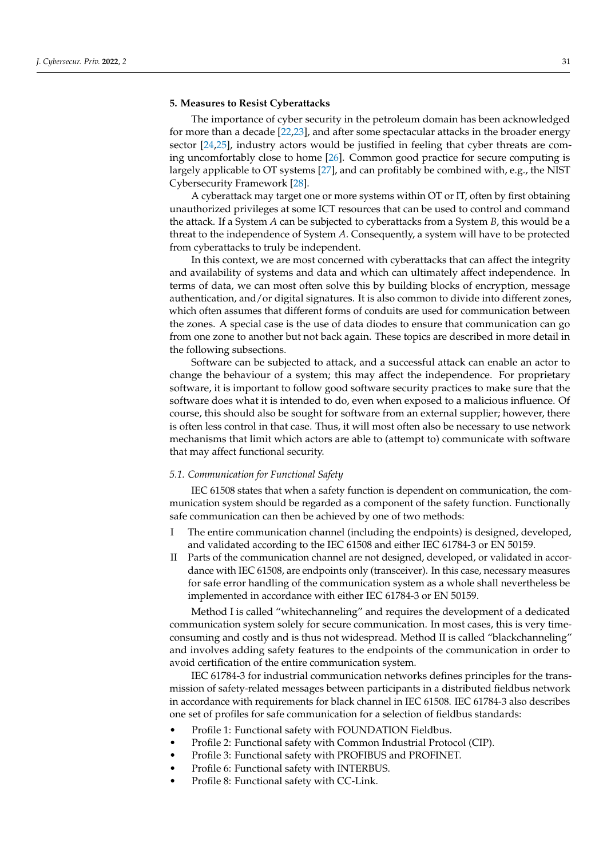## <span id="page-11-0"></span>**5. Measures to Resist Cyberattacks**

The importance of cyber security in the petroleum domain has been acknowledged for more than a decade [\[22,](#page-21-7)[23\]](#page-21-8), and after some spectacular attacks in the broader energy sector [\[24](#page-21-9)[,25\]](#page-21-10), industry actors would be justified in feeling that cyber threats are coming uncomfortably close to home [\[26\]](#page-21-11). Common good practice for secure computing is largely applicable to OT systems [\[27\]](#page-21-12), and can profitably be combined with, e.g., the NIST Cybersecurity Framework [\[28\]](#page-21-13).

A cyberattack may target one or more systems within OT or IT, often by first obtaining unauthorized privileges at some ICT resources that can be used to control and command the attack. If a System *A* can be subjected to cyberattacks from a System *B*, this would be a threat to the independence of System *A*. Consequently, a system will have to be protected from cyberattacks to truly be independent.

In this context, we are most concerned with cyberattacks that can affect the integrity and availability of systems and data and which can ultimately affect independence. In terms of data, we can most often solve this by building blocks of encryption, message authentication, and/or digital signatures. It is also common to divide into different zones, which often assumes that different forms of conduits are used for communication between the zones. A special case is the use of data diodes to ensure that communication can go from one zone to another but not back again. These topics are described in more detail in the following subsections.

Software can be subjected to attack, and a successful attack can enable an actor to change the behaviour of a system; this may affect the independence. For proprietary software, it is important to follow good software security practices to make sure that the software does what it is intended to do, even when exposed to a malicious influence. Of course, this should also be sought for software from an external supplier; however, there is often less control in that case. Thus, it will most often also be necessary to use network mechanisms that limit which actors are able to (attempt to) communicate with software that may affect functional security.

## *5.1. Communication for Functional Safety*

IEC 61508 states that when a safety function is dependent on communication, the communication system should be regarded as a component of the safety function. Functionally safe communication can then be achieved by one of two methods:

- I The entire communication channel (including the endpoints) is designed, developed, and validated according to the IEC 61508 and either IEC 61784-3 or EN 50159.
- II Parts of the communication channel are not designed, developed, or validated in accordance with IEC 61508, are endpoints only (transceiver). In this case, necessary measures for safe error handling of the communication system as a whole shall nevertheless be implemented in accordance with either IEC 61784-3 or EN 50159.

Method I is called "whitechanneling" and requires the development of a dedicated communication system solely for secure communication. In most cases, this is very timeconsuming and costly and is thus not widespread. Method II is called "blackchanneling" and involves adding safety features to the endpoints of the communication in order to avoid certification of the entire communication system.

IEC 61784-3 for industrial communication networks defines principles for the transmission of safety-related messages between participants in a distributed fieldbus network in accordance with requirements for black channel in IEC 61508. IEC 61784-3 also describes one set of profiles for safe communication for a selection of fieldbus standards:

- Profile 1: Functional safety with FOUNDATION Fieldbus.
- Profile 2: Functional safety with Common Industrial Protocol (CIP).
- Profile 3: Functional safety with PROFIBUS and PROFINET.
- Profile 6: Functional safety with INTERBUS.
- Profile 8: Functional safety with CC-Link.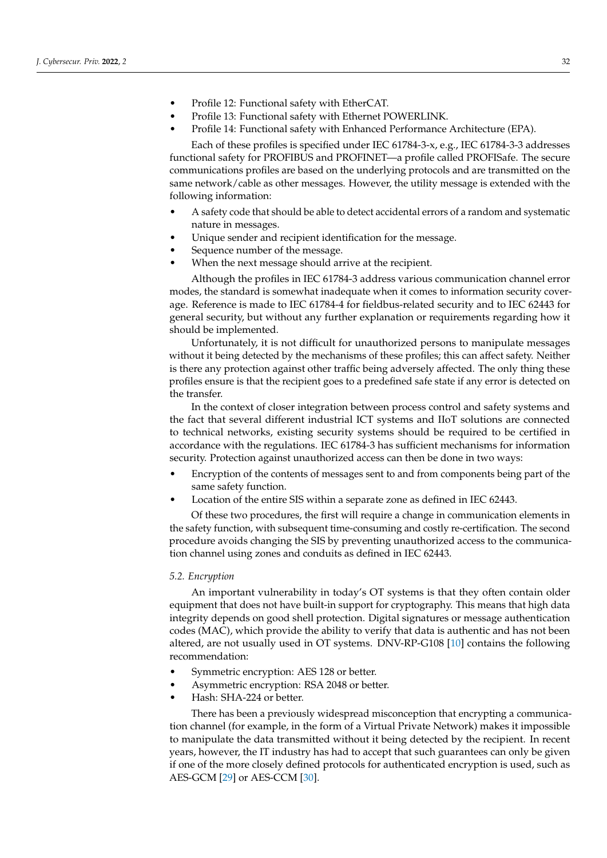- Profile 12: Functional safety with EtherCAT.
- Profile 13: Functional safety with Ethernet POWERLINK.
- Profile 14: Functional safety with Enhanced Performance Architecture (EPA).

Each of these profiles is specified under IEC 61784-3-x, e.g., IEC 61784-3-3 addresses functional safety for PROFIBUS and PROFINET—a profile called PROFISafe. The secure communications profiles are based on the underlying protocols and are transmitted on the same network/cable as other messages. However, the utility message is extended with the following information:

- A safety code that should be able to detect accidental errors of a random and systematic nature in messages.
- Unique sender and recipient identification for the message.
- Sequence number of the message.
- When the next message should arrive at the recipient.

Although the profiles in IEC 61784-3 address various communication channel error modes, the standard is somewhat inadequate when it comes to information security coverage. Reference is made to IEC 61784-4 for fieldbus-related security and to IEC 62443 for general security, but without any further explanation or requirements regarding how it should be implemented.

Unfortunately, it is not difficult for unauthorized persons to manipulate messages without it being detected by the mechanisms of these profiles; this can affect safety. Neither is there any protection against other traffic being adversely affected. The only thing these profiles ensure is that the recipient goes to a predefined safe state if any error is detected on the transfer.

In the context of closer integration between process control and safety systems and the fact that several different industrial ICT systems and IIoT solutions are connected to technical networks, existing security systems should be required to be certified in accordance with the regulations. IEC 61784-3 has sufficient mechanisms for information security. Protection against unauthorized access can then be done in two ways:

- Encryption of the contents of messages sent to and from components being part of the same safety function.
- Location of the entire SIS within a separate zone as defined in IEC 62443.

Of these two procedures, the first will require a change in communication elements in the safety function, with subsequent time-consuming and costly re-certification. The second procedure avoids changing the SIS by preventing unauthorized access to the communication channel using zones and conduits as defined in IEC 62443.

### *5.2. Encryption*

An important vulnerability in today's OT systems is that they often contain older equipment that does not have built-in support for cryptography. This means that high data integrity depends on good shell protection. Digital signatures or message authentication codes (MAC), which provide the ability to verify that data is authentic and has not been altered, are not usually used in OT systems. DNV-RP-G108 [\[10\]](#page-20-9) contains the following recommendation:

- Symmetric encryption: AES 128 or better.
- Asymmetric encryption: RSA 2048 or better.
- Hash: SHA-224 or better.

There has been a previously widespread misconception that encrypting a communication channel (for example, in the form of a Virtual Private Network) makes it impossible to manipulate the data transmitted without it being detected by the recipient. In recent years, however, the IT industry has had to accept that such guarantees can only be given if one of the more closely defined protocols for authenticated encryption is used, such as AES-GCM [\[29\]](#page-21-14) or AES-CCM [\[30\]](#page-21-15).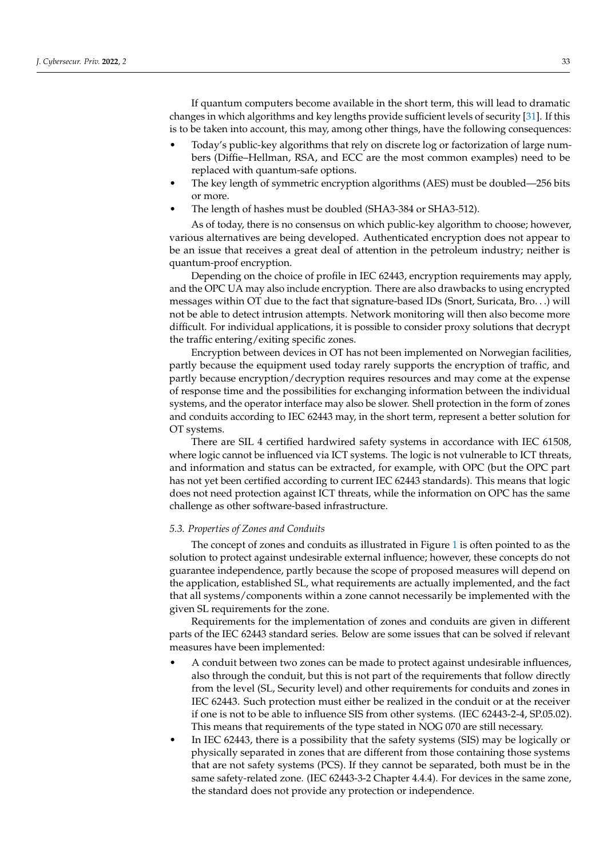If quantum computers become available in the short term, this will lead to dramatic changes in which algorithms and key lengths provide sufficient levels of security [\[31\]](#page-21-16). If this is to be taken into account, this may, among other things, have the following consequences:

- Today's public-key algorithms that rely on discrete log or factorization of large numbers (Diffie–Hellman, RSA, and ECC are the most common examples) need to be replaced with quantum-safe options.
- The key length of symmetric encryption algorithms (AES) must be doubled—256 bits or more.
- The length of hashes must be doubled (SHA3-384 or SHA3-512).

As of today, there is no consensus on which public-key algorithm to choose; however, various alternatives are being developed. Authenticated encryption does not appear to be an issue that receives a great deal of attention in the petroleum industry; neither is quantum-proof encryption.

Depending on the choice of profile in IEC 62443, encryption requirements may apply, and the OPC UA may also include encryption. There are also drawbacks to using encrypted messages within OT due to the fact that signature-based IDs (Snort, Suricata, Bro. . .) will not be able to detect intrusion attempts. Network monitoring will then also become more difficult. For individual applications, it is possible to consider proxy solutions that decrypt the traffic entering/exiting specific zones.

Encryption between devices in OT has not been implemented on Norwegian facilities, partly because the equipment used today rarely supports the encryption of traffic, and partly because encryption/decryption requires resources and may come at the expense of response time and the possibilities for exchanging information between the individual systems, and the operator interface may also be slower. Shell protection in the form of zones and conduits according to IEC 62443 may, in the short term, represent a better solution for OT systems.

There are SIL 4 certified hardwired safety systems in accordance with IEC 61508, where logic cannot be influenced via ICT systems. The logic is not vulnerable to ICT threats, and information and status can be extracted, for example, with OPC (but the OPC part has not yet been certified according to current IEC 62443 standards). This means that logic does not need protection against ICT threats, while the information on OPC has the same challenge as other software-based infrastructure.

## *5.3. Properties of Zones and Conduits*

The concept of zones and conduits as illustrated in Figure [1](#page-5-1) is often pointed to as the solution to protect against undesirable external influence; however, these concepts do not guarantee independence, partly because the scope of proposed measures will depend on the application, established SL, what requirements are actually implemented, and the fact that all systems/components within a zone cannot necessarily be implemented with the given SL requirements for the zone.

Requirements for the implementation of zones and conduits are given in different parts of the IEC 62443 standard series. Below are some issues that can be solved if relevant measures have been implemented:

- A conduit between two zones can be made to protect against undesirable influences, also through the conduit, but this is not part of the requirements that follow directly from the level (SL, Security level) and other requirements for conduits and zones in IEC 62443. Such protection must either be realized in the conduit or at the receiver if one is not to be able to influence SIS from other systems. (IEC 62443-2-4, SP.05.02). This means that requirements of the type stated in NOG 070 are still necessary.
- In IEC 62443, there is a possibility that the safety systems (SIS) may be logically or physically separated in zones that are different from those containing those systems that are not safety systems (PCS). If they cannot be separated, both must be in the same safety-related zone. (IEC 62443-3-2 Chapter 4.4.4). For devices in the same zone, the standard does not provide any protection or independence.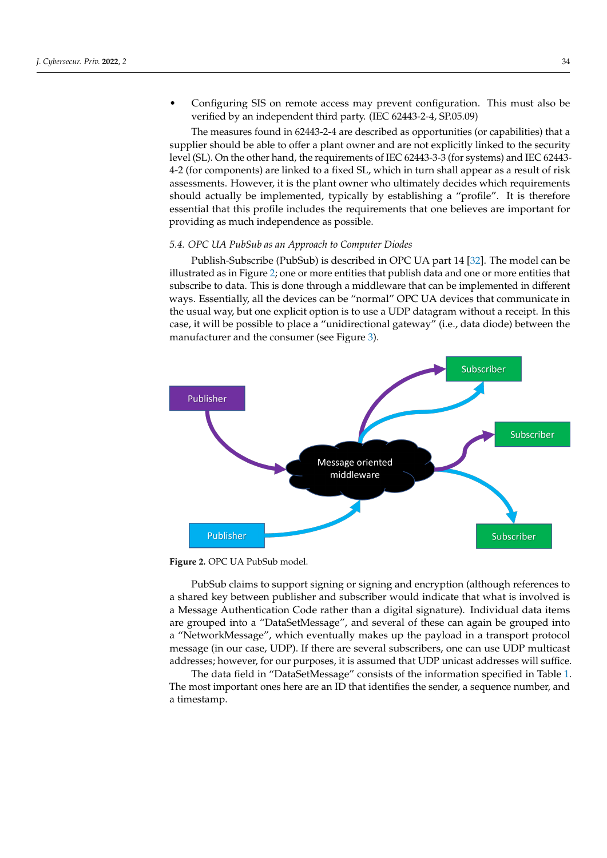• Configuring SIS on remote access may prevent configuration. This must also be verified by an independent third party. (IEC 62443-2-4, SP.05.09)

The measures found in 62443-2-4 are described as opportunities (or capabilities) that a supplier should be able to offer a plant owner and are not explicitly linked to the security level (SL). On the other hand, the requirements of IEC 62443-3-3 (for systems) and IEC 62443- 4-2 (for components) are linked to a fixed SL, which in turn shall appear as a result of risk assessments. However, it is the plant owner who ultimately decides which requirements should actually be implemented, typically by establishing a "profile". It is therefore essential that this profile includes the requirements that one believes are important for providing as much independence as possible.

## *5.4. OPC UA PubSub as an Approach to Computer Diodes*

Publish-Subscribe (PubSub) is described in OPC UA part 14 [\[32\]](#page-21-17). The model can be illustrated as in Figure [2;](#page-14-0) one or more entities that publish data and one or more entities that subscribe to data. This is done through a middleware that can be implemented in different ways. Essentially, all the devices can be "normal" OPC UA devices that communicate in the usual way, but one explicit option is to use a UDP datagram without a receipt. In this case, it will be possible to place a "unidirectional gateway" (i.e., data diode) between the manufacturer and the consumer (see Figure [3\)](#page-15-0).

<span id="page-14-0"></span>

**Figure 2.** OPC UA PubSub model.

PubSub claims to support signing or signing and encryption (although references to a shared key between publisher and subscriber would indicate that what is involved is a Message Authentication Code rather than a digital signature). Individual data items are grouped into a "DataSetMessage", and several of these can again be grouped into a "NetworkMessage", which eventually makes up the payload in a transport protocol message (in our case, UDP). If there are several subscribers, one can use UDP multicast addresses; however, for our purposes, it is assumed that UDP unicast addresses will suffice.

The data field in "DataSetMessage" consists of the information specified in Table [1.](#page-15-1) The most important ones here are an ID that identifies the sender, a sequence number, and a timestamp.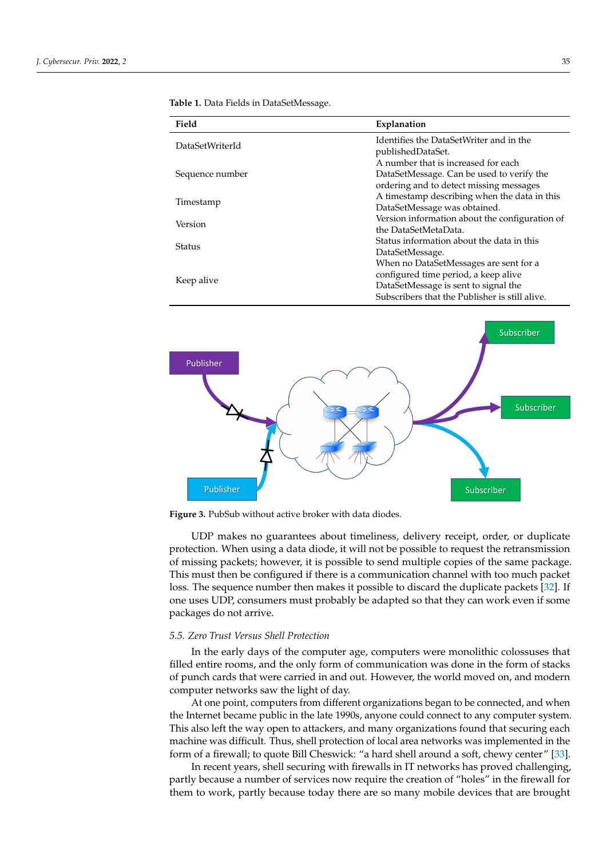| Field           | Explanation                                                                                                                                                              |
|-----------------|--------------------------------------------------------------------------------------------------------------------------------------------------------------------------|
| DataSetWriterId | Identifies the DataSetWriter and in the<br>publishedDataSet.                                                                                                             |
| Sequence number | A number that is increased for each<br>DataSetMessage. Can be used to verify the<br>ordering and to detect missing messages                                              |
| Timestamp       | A timestamp describing when the data in this<br>DataSetMessage was obtained.                                                                                             |
| Version         | Version information about the configuration of<br>the DataSetMetaData.                                                                                                   |
| Status          | Status information about the data in this<br>DataSetMessage.                                                                                                             |
| Keep alive      | When no DataSetMessages are sent for a<br>configured time period, a keep alive<br>DataSetMessage is sent to signal the<br>Subscribers that the Publisher is still alive. |

<span id="page-15-1"></span>**Table 1.** Data Fields in DataSetMessage.

<span id="page-15-0"></span>

**Figure 3.** PubSub without active broker with data diodes.

UDP makes no guarantees about timeliness, delivery receipt, order, or duplicate protection. When using a data diode, it will not be possible to request the retransmission of missing packets; however, it is possible to send multiple copies of the same package. This must then be configured if there is a communication channel with too much packet loss. The sequence number then makes it possible to discard the duplicate packets [\[32\]](#page-21-17). If one uses UDP, consumers must probably be adapted so that they can work even if some packages do not arrive.

#### *5.5. Zero Trust Versus Shell Protection*

In the early days of the computer age, computers were monolithic colossuses that filled entire rooms, and the only form of communication was done in the form of stacks of punch cards that were carried in and out. However, the world moved on, and modern computer networks saw the light of day.

At one point, computers from different organizations began to be connected, and when the Internet became public in the late 1990s, anyone could connect to any computer system. This also left the way open to attackers, and many organizations found that securing each machine was difficult. Thus, shell protection of local area networks was implemented in the form of a firewall; to quote Bill Cheswick: "a hard shell around a soft, chewy center" [\[33\]](#page-21-18).

In recent years, shell securing with firewalls in IT networks has proved challenging, partly because a number of services now require the creation of "holes" in the firewall for them to work, partly because today there are so many mobile devices that are brought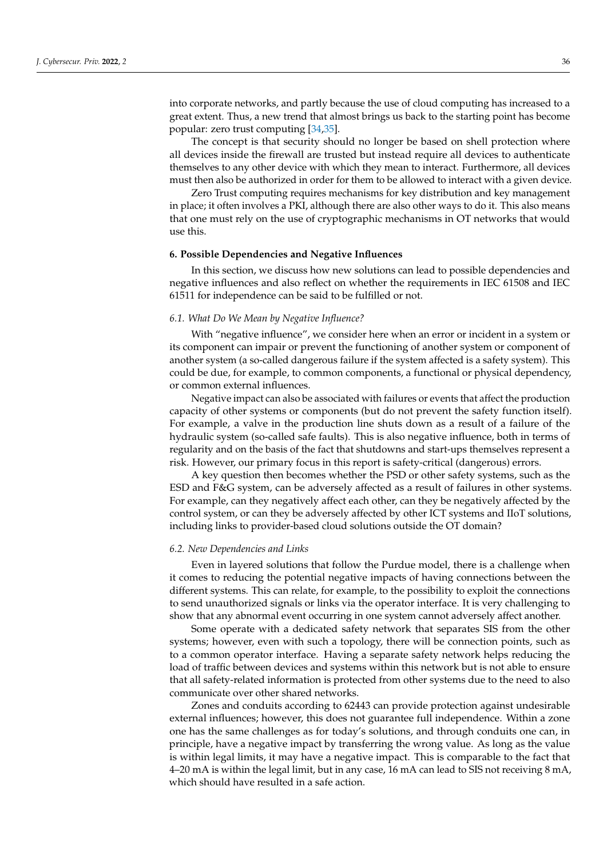into corporate networks, and partly because the use of cloud computing has increased to a great extent. Thus, a new trend that almost brings us back to the starting point has become popular: zero trust computing [\[34](#page-21-19)[,35\]](#page-21-20).

The concept is that security should no longer be based on shell protection where all devices inside the firewall are trusted but instead require all devices to authenticate themselves to any other device with which they mean to interact. Furthermore, all devices must then also be authorized in order for them to be allowed to interact with a given device.

Zero Trust computing requires mechanisms for key distribution and key management in place; it often involves a PKI, although there are also other ways to do it. This also means that one must rely on the use of cryptographic mechanisms in OT networks that would use this.

## <span id="page-16-0"></span>**6. Possible Dependencies and Negative Influences**

In this section, we discuss how new solutions can lead to possible dependencies and negative influences and also reflect on whether the requirements in IEC 61508 and IEC 61511 for independence can be said to be fulfilled or not.

## *6.1. What Do We Mean by Negative Influence?*

With "negative influence", we consider here when an error or incident in a system or its component can impair or prevent the functioning of another system or component of another system (a so-called dangerous failure if the system affected is a safety system). This could be due, for example, to common components, a functional or physical dependency, or common external influences.

Negative impact can also be associated with failures or events that affect the production capacity of other systems or components (but do not prevent the safety function itself). For example, a valve in the production line shuts down as a result of a failure of the hydraulic system (so-called safe faults). This is also negative influence, both in terms of regularity and on the basis of the fact that shutdowns and start-ups themselves represent a risk. However, our primary focus in this report is safety-critical (dangerous) errors.

A key question then becomes whether the PSD or other safety systems, such as the ESD and F&G system, can be adversely affected as a result of failures in other systems. For example, can they negatively affect each other, can they be negatively affected by the control system, or can they be adversely affected by other ICT systems and IIoT solutions, including links to provider-based cloud solutions outside the OT domain?

### *6.2. New Dependencies and Links*

Even in layered solutions that follow the Purdue model, there is a challenge when it comes to reducing the potential negative impacts of having connections between the different systems. This can relate, for example, to the possibility to exploit the connections to send unauthorized signals or links via the operator interface. It is very challenging to show that any abnormal event occurring in one system cannot adversely affect another.

Some operate with a dedicated safety network that separates SIS from the other systems; however, even with such a topology, there will be connection points, such as to a common operator interface. Having a separate safety network helps reducing the load of traffic between devices and systems within this network but is not able to ensure that all safety-related information is protected from other systems due to the need to also communicate over other shared networks.

Zones and conduits according to 62443 can provide protection against undesirable external influences; however, this does not guarantee full independence. Within a zone one has the same challenges as for today's solutions, and through conduits one can, in principle, have a negative impact by transferring the wrong value. As long as the value is within legal limits, it may have a negative impact. This is comparable to the fact that 4–20 mA is within the legal limit, but in any case, 16 mA can lead to SIS not receiving 8 mA, which should have resulted in a safe action.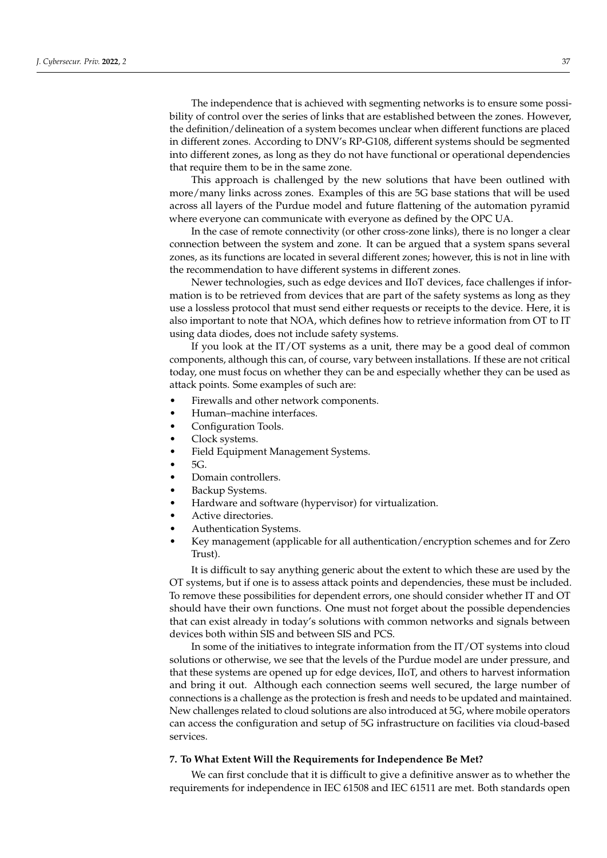The independence that is achieved with segmenting networks is to ensure some possibility of control over the series of links that are established between the zones. However, the definition/delineation of a system becomes unclear when different functions are placed in different zones. According to DNV's RP-G108, different systems should be segmented into different zones, as long as they do not have functional or operational dependencies that require them to be in the same zone.

This approach is challenged by the new solutions that have been outlined with more/many links across zones. Examples of this are 5G base stations that will be used across all layers of the Purdue model and future flattening of the automation pyramid where everyone can communicate with everyone as defined by the OPC UA.

In the case of remote connectivity (or other cross-zone links), there is no longer a clear connection between the system and zone. It can be argued that a system spans several zones, as its functions are located in several different zones; however, this is not in line with the recommendation to have different systems in different zones.

Newer technologies, such as edge devices and IIoT devices, face challenges if information is to be retrieved from devices that are part of the safety systems as long as they use a lossless protocol that must send either requests or receipts to the device. Here, it is also important to note that NOA, which defines how to retrieve information from OT to IT using data diodes, does not include safety systems.

If you look at the IT/OT systems as a unit, there may be a good deal of common components, although this can, of course, vary between installations. If these are not critical today, one must focus on whether they can be and especially whether they can be used as attack points. Some examples of such are:

- Firewalls and other network components.
- Human–machine interfaces.
- Configuration Tools.
- Clock systems.
- Field Equipment Management Systems.
- 5G.
- Domain controllers.
- Backup Systems.
- Hardware and software (hypervisor) for virtualization.
- Active directories.
- Authentication Systems.
- Key management (applicable for all authentication/encryption schemes and for Zero Trust).

It is difficult to say anything generic about the extent to which these are used by the OT systems, but if one is to assess attack points and dependencies, these must be included. To remove these possibilities for dependent errors, one should consider whether IT and OT should have their own functions. One must not forget about the possible dependencies that can exist already in today's solutions with common networks and signals between devices both within SIS and between SIS and PCS.

In some of the initiatives to integrate information from the IT/OT systems into cloud solutions or otherwise, we see that the levels of the Purdue model are under pressure, and that these systems are opened up for edge devices, IIoT, and others to harvest information and bring it out. Although each connection seems well secured, the large number of connections is a challenge as the protection is fresh and needs to be updated and maintained. New challenges related to cloud solutions are also introduced at 5G, where mobile operators can access the configuration and setup of 5G infrastructure on facilities via cloud-based services.

## <span id="page-17-0"></span>**7. To What Extent Will the Requirements for Independence Be Met?**

We can first conclude that it is difficult to give a definitive answer as to whether the requirements for independence in IEC 61508 and IEC 61511 are met. Both standards open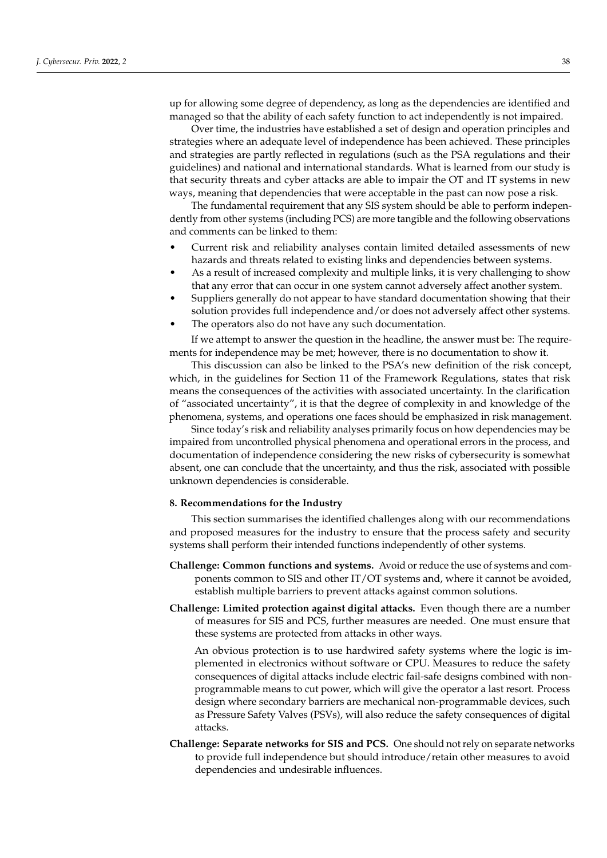up for allowing some degree of dependency, as long as the dependencies are identified and managed so that the ability of each safety function to act independently is not impaired.

Over time, the industries have established a set of design and operation principles and strategies where an adequate level of independence has been achieved. These principles and strategies are partly reflected in regulations (such as the PSA regulations and their guidelines) and national and international standards. What is learned from our study is that security threats and cyber attacks are able to impair the OT and IT systems in new ways, meaning that dependencies that were acceptable in the past can now pose a risk.

The fundamental requirement that any SIS system should be able to perform independently from other systems (including PCS) are more tangible and the following observations and comments can be linked to them:

- Current risk and reliability analyses contain limited detailed assessments of new hazards and threats related to existing links and dependencies between systems.
- As a result of increased complexity and multiple links, it is very challenging to show that any error that can occur in one system cannot adversely affect another system.
- Suppliers generally do not appear to have standard documentation showing that their solution provides full independence and/or does not adversely affect other systems.
- The operators also do not have any such documentation.

If we attempt to answer the question in the headline, the answer must be: The requirements for independence may be met; however, there is no documentation to show it.

This discussion can also be linked to the PSA's new definition of the risk concept, which, in the guidelines for Section 11 of the Framework Regulations, states that risk means the consequences of the activities with associated uncertainty. In the clarification of "associated uncertainty", it is that the degree of complexity in and knowledge of the phenomena, systems, and operations one faces should be emphasized in risk management.

Since today's risk and reliability analyses primarily focus on how dependencies may be impaired from uncontrolled physical phenomena and operational errors in the process, and documentation of independence considering the new risks of cybersecurity is somewhat absent, one can conclude that the uncertainty, and thus the risk, associated with possible unknown dependencies is considerable.

## <span id="page-18-0"></span>**8. Recommendations for the Industry**

This section summarises the identified challenges along with our recommendations and proposed measures for the industry to ensure that the process safety and security systems shall perform their intended functions independently of other systems.

- **Challenge: Common functions and systems.** Avoid or reduce the use of systems and components common to SIS and other IT/OT systems and, where it cannot be avoided, establish multiple barriers to prevent attacks against common solutions.
- **Challenge: Limited protection against digital attacks.** Even though there are a number of measures for SIS and PCS, further measures are needed. One must ensure that these systems are protected from attacks in other ways.

An obvious protection is to use hardwired safety systems where the logic is implemented in electronics without software or CPU. Measures to reduce the safety consequences of digital attacks include electric fail-safe designs combined with nonprogrammable means to cut power, which will give the operator a last resort. Process design where secondary barriers are mechanical non-programmable devices, such as Pressure Safety Valves (PSVs), will also reduce the safety consequences of digital attacks.

**Challenge: Separate networks for SIS and PCS.** One should not rely on separate networks to provide full independence but should introduce/retain other measures to avoid dependencies and undesirable influences.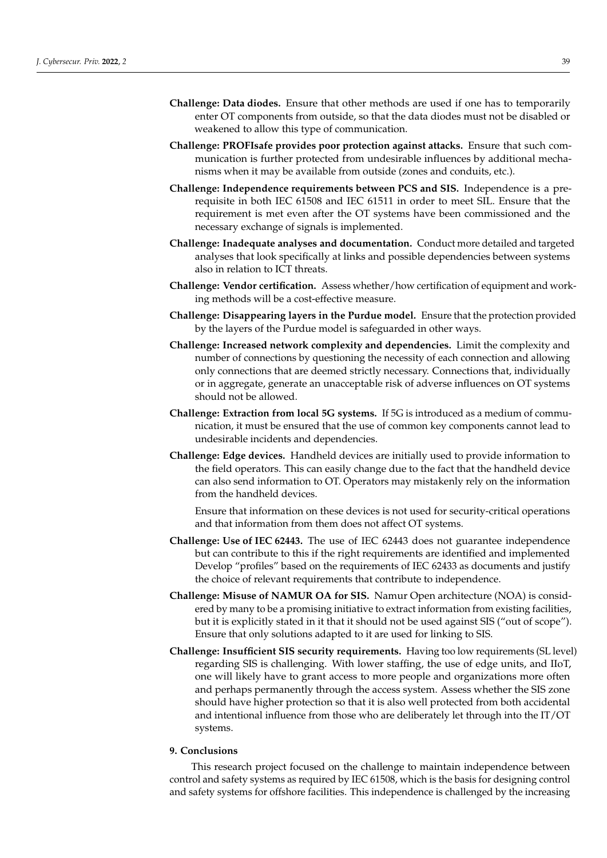- **Challenge: Data diodes.** Ensure that other methods are used if one has to temporarily enter OT components from outside, so that the data diodes must not be disabled or weakened to allow this type of communication.
- **Challenge: PROFIsafe provides poor protection against attacks.** Ensure that such communication is further protected from undesirable influences by additional mechanisms when it may be available from outside (zones and conduits, etc.).
- **Challenge: Independence requirements between PCS and SIS.** Independence is a prerequisite in both IEC 61508 and IEC 61511 in order to meet SIL. Ensure that the requirement is met even after the OT systems have been commissioned and the necessary exchange of signals is implemented.
- **Challenge: Inadequate analyses and documentation.** Conduct more detailed and targeted analyses that look specifically at links and possible dependencies between systems also in relation to ICT threats.
- **Challenge: Vendor certification.** Assess whether/how certification of equipment and working methods will be a cost-effective measure.
- **Challenge: Disappearing layers in the Purdue model.** Ensure that the protection provided by the layers of the Purdue model is safeguarded in other ways.
- **Challenge: Increased network complexity and dependencies.** Limit the complexity and number of connections by questioning the necessity of each connection and allowing only connections that are deemed strictly necessary. Connections that, individually or in aggregate, generate an unacceptable risk of adverse influences on OT systems should not be allowed.
- **Challenge: Extraction from local 5G systems.** If 5G is introduced as a medium of communication, it must be ensured that the use of common key components cannot lead to undesirable incidents and dependencies.
- **Challenge: Edge devices.** Handheld devices are initially used to provide information to the field operators. This can easily change due to the fact that the handheld device can also send information to OT. Operators may mistakenly rely on the information from the handheld devices.

Ensure that information on these devices is not used for security-critical operations and that information from them does not affect OT systems.

- **Challenge: Use of IEC 62443.** The use of IEC 62443 does not guarantee independence but can contribute to this if the right requirements are identified and implemented Develop "profiles" based on the requirements of IEC 62433 as documents and justify the choice of relevant requirements that contribute to independence.
- **Challenge: Misuse of NAMUR OA for SIS.** Namur Open architecture (NOA) is considered by many to be a promising initiative to extract information from existing facilities, but it is explicitly stated in it that it should not be used against SIS ("out of scope"). Ensure that only solutions adapted to it are used for linking to SIS.
- **Challenge: Insufficient SIS security requirements.** Having too low requirements (SL level) regarding SIS is challenging. With lower staffing, the use of edge units, and IIoT, one will likely have to grant access to more people and organizations more often and perhaps permanently through the access system. Assess whether the SIS zone should have higher protection so that it is also well protected from both accidental and intentional influence from those who are deliberately let through into the IT/OT systems.

## <span id="page-19-0"></span>**9. Conclusions**

This research project focused on the challenge to maintain independence between control and safety systems as required by IEC 61508, which is the basis for designing control and safety systems for offshore facilities. This independence is challenged by the increasing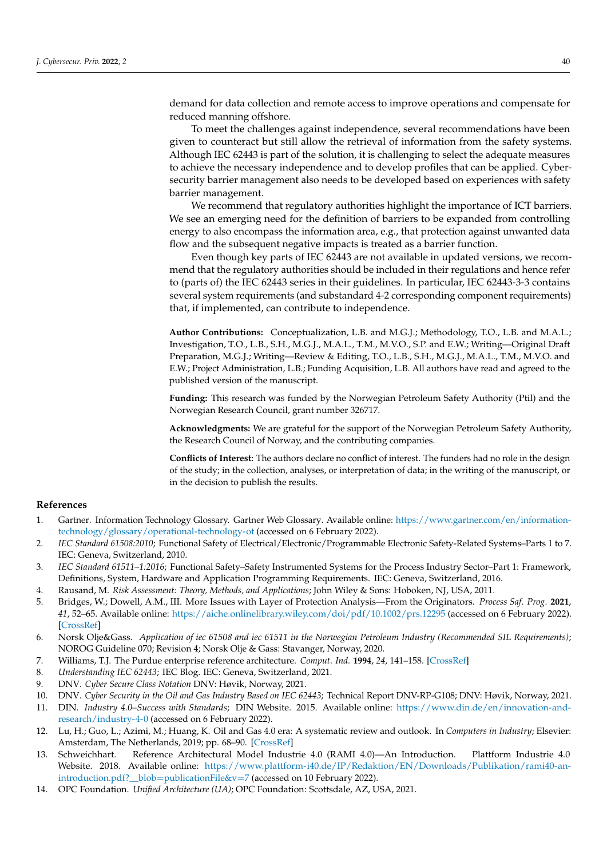demand for data collection and remote access to improve operations and compensate for reduced manning offshore.

To meet the challenges against independence, several recommendations have been given to counteract but still allow the retrieval of information from the safety systems. Although IEC 62443 is part of the solution, it is challenging to select the adequate measures to achieve the necessary independence and to develop profiles that can be applied. Cybersecurity barrier management also needs to be developed based on experiences with safety barrier management.

We recommend that regulatory authorities highlight the importance of ICT barriers. We see an emerging need for the definition of barriers to be expanded from controlling energy to also encompass the information area, e.g., that protection against unwanted data flow and the subsequent negative impacts is treated as a barrier function.

Even though key parts of IEC 62443 are not available in updated versions, we recommend that the regulatory authorities should be included in their regulations and hence refer to (parts of) the IEC 62443 series in their guidelines. In particular, IEC 62443-3-3 contains several system requirements (and substandard 4-2 corresponding component requirements) that, if implemented, can contribute to independence.

**Author Contributions:** Conceptualization, L.B. and M.G.J.; Methodology, T.O., L.B. and M.A.L.; Investigation, T.O., L.B., S.H., M.G.J., M.A.L., T.M., M.V.O., S.P. and E.W.; Writing—Original Draft Preparation, M.G.J.; Writing—Review & Editing, T.O., L.B., S.H., M.G.J., M.A.L., T.M., M.V.O. and E.W.; Project Administration, L.B.; Funding Acquisition, L.B. All authors have read and agreed to the published version of the manuscript.

**Funding:** This research was funded by the Norwegian Petroleum Safety Authority (Ptil) and the Norwegian Research Council, grant number 326717.

**Acknowledgments:** We are grateful for the support of the Norwegian Petroleum Safety Authority, the Research Council of Norway, and the contributing companies.

**Conflicts of Interest:** The authors declare no conflict of interest. The funders had no role in the design of the study; in the collection, analyses, or interpretation of data; in the writing of the manuscript, or in the decision to publish the results.

## **References**

- <span id="page-20-0"></span>1. Gartner. Information Technology Glossary. Gartner Web Glossary. Available online: [https://www.gartner.com/en/information](https://www.gartner.com/en/information-technology/glossary/operational-technology-ot)[technology/glossary/operational-technology-ot](https://www.gartner.com/en/information-technology/glossary/operational-technology-ot) (accessed on 6 February 2022).
- <span id="page-20-1"></span>2. *IEC Standard 61508:2010*; Functional Safety of Electrical/Electronic/Programmable Electronic Safety-Related Systems–Parts 1 to 7. IEC: Geneva, Switzerland, 2010.
- <span id="page-20-2"></span>3. *IEC Standard 61511–1:2016*; Functional Safety–Safety Instrumented Systems for the Process Industry Sector–Part 1: Framework, Definitions, System, Hardware and Application Programming Requirements. IEC: Geneva, Switzerland, 2016.
- <span id="page-20-3"></span>4. Rausand, M. *Risk Assessment: Theory, Methods, and Applications*; John Wiley & Sons: Hoboken, NJ, USA, 2011.
- <span id="page-20-4"></span>5. Bridges, W.; Dowell, A.M., III. More Issues with Layer of Protection Analysis—From the Originators. *Process Saf. Prog.* **2021**, *41*, 52–65. Available online: <https://aiche.onlinelibrary.wiley.com/doi/pdf/10.1002/prs.12295> (accessed on 6 February 2022). [\[CrossRef\]](http://doi.org/10.1002/prs.12295)
- <span id="page-20-5"></span>6. Norsk Olje&Gass. *Application of iec 61508 and iec 61511 in the Norwegian Petroleum Industry (Recommended SIL Requirements)*; NOROG Guideline 070; Revision 4; Norsk Olje & Gass: Stavanger, Norway, 2020.
- <span id="page-20-6"></span>7. Williams, T.J. The Purdue enterprise reference architecture. *Comput. Ind.* **1994**, *24*, 141–158. [\[CrossRef\]](http://dx.doi.org/10.1016/0166-3615(94)90017-5)
- <span id="page-20-7"></span>8. *Understanding IEC 62443*; IEC Blog. IEC: Geneva, Switzerland, 2021.
- <span id="page-20-8"></span>9. DNV. *Cyber Secure Class Notation* DNV: Høvik, Norway, 2021.
- <span id="page-20-9"></span>10. DNV. *Cyber Security in the Oil and Gas Industry Based on IEC 62443*; Technical Report DNV-RP-G108; DNV: Høvik, Norway, 2021.
- <span id="page-20-10"></span>11. DIN. *Industry 4.0–Success with Standards*; DIN Website. 2015. Available online: [https://www.din.de/en/innovation-and](https://www.din.de/en/innovation-and-research/industry-4-0)[research/industry-4-0](https://www.din.de/en/innovation-and-research/industry-4-0) (accessed on 6 February 2022).
- <span id="page-20-11"></span>12. Lu, H.; Guo, L.; Azimi, M.; Huang, K. Oil and Gas 4.0 era: A systematic review and outlook. In *Computers in Industry*; Elsevier: Amsterdam, The Netherlands, 2019; pp. 68–90. [\[CrossRef\]](http://dx.doi.org/10.1016/j.compind.2019.06.007)
- <span id="page-20-12"></span>13. Schweichhart. Reference Architectural Model Industrie 4.0 (RAMI 4.0)—An Introduction. Plattform Industrie 4.0 Website. 2018. Available online: [https://www.plattform-i40.de/IP/Redaktion/EN/Downloads/Publikation/rami40-an](https://www.plattform-i40.de/IP/Redaktion/EN/Downloads/Publikation/rami40-an-introduction.pdf?__blob=publicationFile&v=7)[introduction.pdf?\\_\\_blob](https://www.plattform-i40.de/IP/Redaktion/EN/Downloads/Publikation/rami40-an-introduction.pdf?__blob=publicationFile&v=7)=publicationFile&v=7 (accessed on 10 February 2022).
- <span id="page-20-13"></span>14. OPC Foundation. *Unified Architecture (UA)*; OPC Foundation: Scottsdale, AZ, USA, 2021.